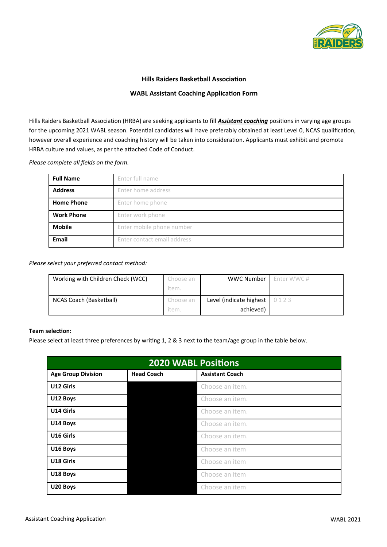

### **Hills Raiders Basketball Association**

#### **WABL Assistant Coaching Application Form**

Hills Raiders Basketball Association (HRBA) are seeking applicants to fill *Assistant coaching* positions in varying age groups for the upcoming 2021 WABL season. Potential candidates will have preferably obtained at least Level 0, NCAS qualification, however overall experience and coaching history will be taken into consideration. Applicants must exhibit and promote HRBA culture and values, as per the attached Code of Conduct.

*Please complete all fields on the form.*

| <b>Full Name</b>  | Enter full name             |  |
|-------------------|-----------------------------|--|
| <b>Address</b>    | Enter home address          |  |
| <b>Home Phone</b> | Enter home phone            |  |
| <b>Work Phone</b> | Enter work phone            |  |
| <b>Mobile</b>     | Enter mobile phone number   |  |
| <b>Email</b>      | Enter contact email address |  |

*Please select your preferred contact method:*

| Working with Children Check (WCC) | Choose an | <b>WWC Number</b>       | Enter WWC# |
|-----------------------------------|-----------|-------------------------|------------|
|                                   | item.     |                         |            |
| NCAS Coach (Basketball)           | Choose an | Level (indicate highest | 0123       |
|                                   | item.     | achieved)               |            |

# **Team selection:**

Please select at least three preferences by writing 1, 2 & 3 next to the team/age group in the table below.

| <b>2020 WABL Positions</b> |                   |                        |  |  |
|----------------------------|-------------------|------------------------|--|--|
| <b>Age Group Division</b>  | <b>Head Coach</b> | <b>Assistant Coach</b> |  |  |
| U12 Girls                  |                   | Choose an item.        |  |  |
| U12 Boys                   |                   | Choose an item.        |  |  |
| U14 Girls                  |                   | Choose an item.        |  |  |
| U14 Boys                   |                   | Choose an item.        |  |  |
| U16 Girls                  |                   | Choose an item.        |  |  |
| U16 Boys                   |                   | Choose an item         |  |  |
| U18 Girls                  |                   | Choose an item         |  |  |
| U18 Boys                   |                   | Choose an item         |  |  |
| U20 Boys                   |                   | Choose an item         |  |  |